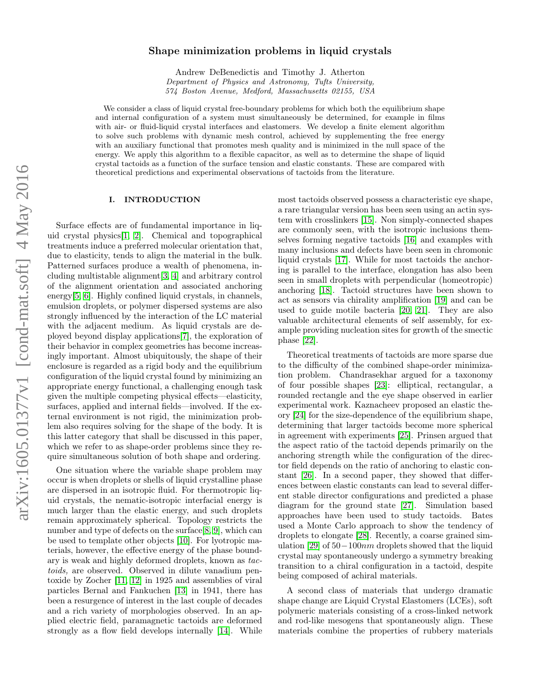# $arXiv:1605.01377v1$  [cond-mat.soft]  $4$  May 2016 arXiv:1605.01377v1 [cond-mat.soft] 4 May 2016

# Shape minimization problems in liquid crystals

Andrew DeBenedictis and Timothy J. Atherton Department of Physics and Astronomy, Tufts University, 574 Boston Avenue, Medford, Massachusetts 02155, USA

We consider a class of liquid crystal free-boundary problems for which both the equilibrium shape and internal configuration of a system must simultaneously be determined, for example in films with air- or fluid-liquid crystal interfaces and elastomers. We develop a finite element algorithm to solve such problems with dynamic mesh control, achieved by supplementing the free energy with an auxiliary functional that promotes mesh quality and is minimized in the null space of the energy. We apply this algorithm to a flexible capacitor, as well as to determine the shape of liquid crystal tactoids as a function of the surface tension and elastic constants. These are compared with theoretical predictions and experimental observations of tactoids from the literature.

# I. INTRODUCTION

Surface effects are of fundamental importance in liquid crystal physics[\[1,](#page-7-0) [2\]](#page-7-1). Chemical and topographical treatments induce a preferred molecular orientation that, due to elasticity, tends to align the material in the bulk. Patterned surfaces produce a wealth of phenomena, including multistable alignment[\[3,](#page-7-2) [4\]](#page-7-3) and arbitrary control of the alignment orientation and associated anchoring energy<sup>[\[5,](#page-7-4) [6\]](#page-7-5)</sup>. Highly confined liquid crystals, in channels, emulsion droplets, or polymer dispersed systems are also strongly influenced by the interaction of the LC material with the adjacent medium. As liquid crystals are deployed beyond display applications[\[7\]](#page-7-6), the exploration of their behavior in complex geometries has become increasingly important. Almost ubiquitously, the shape of their enclosure is regarded as a rigid body and the equilibrium configuration of the liquid crystal found by minimizing an appropriate energy functional, a challenging enough task given the multiple competing physical effects—elasticity, surfaces, applied and internal fields—involved. If the external environment is not rigid, the minimization problem also requires solving for the shape of the body. It is this latter category that shall be discussed in this paper, which we refer to as shape-order problems since they require simultaneous solution of both shape and ordering.

One situation where the variable shape problem may occur is when droplets or shells of liquid crystalline phase are dispersed in an isotropic fluid. For thermotropic liquid crystals, the nematic-isotropic interfacial energy is much larger than the elastic energy, and such droplets remain approximately spherical. Topology restricts the number and type of defects on the surface[\[8,](#page-7-7) [9\]](#page-7-8), which can be used to template other objects [\[10\]](#page-7-9). For lyotropic materials, however, the effective energy of the phase boundary is weak and highly deformed droplets, known as tactoids, are observed. Observed in dilute vanadium pentoxide by Zocher [\[11,](#page-8-0) [12\]](#page-8-1) in 1925 and assemblies of viral particles Bernal and Fankuchen [\[13\]](#page-8-2) in 1941, there has been a resurgence of interest in the last couple of decades and a rich variety of morphologies observed. In an applied electric field, paramagnetic tactoids are deformed strongly as a flow field develops internally [\[14\]](#page-8-3). While

most tactoids observed possess a characteristic eye shape, a rare triangular version has been seen using an actin system with crosslinkers [\[15\]](#page-8-4). Non simply-connected shapes are commonly seen, with the isotropic inclusions themselves forming negative tactoids [\[16\]](#page-8-5) and examples with many inclusions and defects have been seen in chromonic liquid crystals [\[17\]](#page-8-6). While for most tactoids the anchoring is parallel to the interface, elongation has also been seen in small droplets with perpendicular (homeotropic) anchoring [\[18\]](#page-8-7). Tactoid structures have been shown to act as sensors via chirality amplification [\[19\]](#page-8-8) and can be used to guide motile bacteria [\[20,](#page-8-9) [21\]](#page-8-10). They are also valuable architectural elements of self assembly, for example providing nucleation sites for growth of the smectic phase [\[22\]](#page-8-11).

Theoretical treatments of tactoids are more sparse due to the difficulty of the combined shape-order minimization problem. Chandrasekhar argued for a taxonomy of four possible shapes [\[23\]](#page-8-12): elliptical, rectangular, a rounded rectangle and the eye shape observed in earlier experimental work. Kaznacheev proposed an elastic theory [\[24\]](#page-8-13) for the size-dependence of the equilibrium shape, determining that larger tactoids become more spherical in agreement with experiments [\[25\]](#page-8-14). Prinsen argued that the aspect ratio of the tactoid depends primarily on the anchoring strength while the configuration of the director field depends on the ratio of anchoring to elastic constant [\[26\]](#page-8-15). In a second paper, they showed that differences between elastic constants can lead to several different stable director configurations and predicted a phase diagram for the ground state [\[27\]](#page-8-16). Simulation based approaches have been used to study tactoids. Bates used a Monte Carlo approach to show the tendency of droplets to elongate [\[28\]](#page-8-17). Recently, a coarse grained simulation [\[29\]](#page-8-18) of 50−100nm droplets showed that the liquid crystal may spontaneously undergo a symmetry breaking transition to a chiral configuration in a tactoid, despite being composed of achiral materials.

A second class of materials that undergo dramatic shape change are Liquid Crystal Elastomers (LCEs), soft polymeric materials consisting of a cross-linked network and rod-like mesogens that spontaneously align. These materials combine the properties of rubbery materials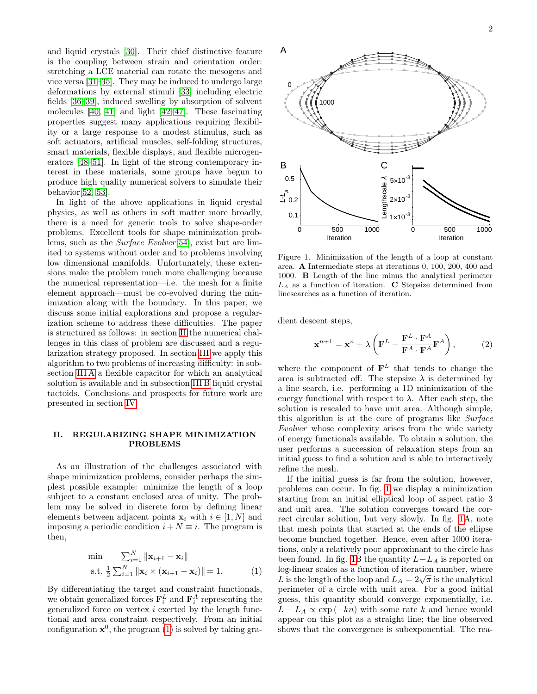and liquid crystals [\[30\]](#page-8-19). Their chief distinctive feature is the coupling between strain and orientation order: stretching a LCE material can rotate the mesogens and vice versa [\[31–](#page-8-20)[35\]](#page-8-21). They may be induced to undergo large deformations by external stimuli [\[33\]](#page-8-22) including electric fields [\[36–](#page-8-23)[39\]](#page-8-24), induced swelling by absorption of solvent molecules [\[40,](#page-8-25) [41\]](#page-8-26) and light [\[42](#page-8-27)[–47\]](#page-8-28). These fascinating properties suggest many applications requiring flexibility or a large response to a modest stimulus, such as soft actuators, artificial muscles, self-folding structures, smart materials, flexible displays, and flexible microgenerators [\[48–](#page-8-29)[51\]](#page-8-30). In light of the strong contemporary interest in these materials, some groups have begun to produce high quality numerical solvers to simulate their behavior[\[52,](#page-8-31) [53\]](#page-8-32).

In light of the above applications in liquid crystal physics, as well as others in soft matter more broadly, there is a need for generic tools to solve shape-order problems. Excellent tools for shape minimization problems, such as the *Surface Evolver* [\[54\]](#page-8-33), exist but are limited to systems without order and to problems involving low dimensional manifolds. Unfortunately, these extensions make the problem much more challenging because the numerical representation—i.e. the mesh for a finite element approach—must be co-evolved during the minimization along with the boundary. In this paper, we discuss some initial explorations and propose a regularization scheme to address these difficulties. The paper is structured as follows: in section [II](#page-1-0) the numerical challenges in this class of problem are discussed and a regularization strategy proposed. In section [III](#page-3-0) we apply this algorithm to two problems of increasing difficulty: in subsection [III A](#page-3-1) a flexible capacitor for which an analytical solution is available and in subsection [III B](#page-4-0) liquid crystal tactoids. Conclusions and prospects for future work are presented in section [IV.](#page-6-0)

# <span id="page-1-0"></span>II. REGULARIZING SHAPE MINIMIZATION PROBLEMS

As an illustration of the challenges associated with shape minimization problems, consider perhaps the simplest possible example: minimize the length of a loop subject to a constant enclosed area of unity. The problem may be solved in discrete form by defining linear elements between adjacent points  $\mathbf{x}_i$  with  $i \in [1, N]$  and imposing a periodic condition  $i + N \equiv i$ . The program is then,

<span id="page-1-1"></span>
$$
\min \sum_{i=1}^{N} \|\mathbf{x}_{i+1} - \mathbf{x}_{i}\|
$$
\n
$$
\text{s.t. } \frac{1}{2} \sum_{i=1}^{N} \|\mathbf{x}_{i} \times (\mathbf{x}_{i+1} - \mathbf{x}_{i})\| = 1. \tag{1}
$$

By differentiating the target and constraint functionals, we obtain generalized forces  $\mathbf{F}_i^L$  and  $\mathbf{F}_i^A$  representing the generalized force on vertex i exerted by the length functional and area constraint respectively. From an initial configuration  $x^0$ , the program [\(1\)](#page-1-1) is solved by taking gra-



<span id="page-1-2"></span>Figure 1. Minimization of the length of a loop at constant area. A Intermediate steps at iterations 0, 100, 200, 400 and 1000. B Length of the line minus the analytical perimeter  $L_A$  as a function of iteration. C Stepsize determined from linesearches as a function of iteration.

dient descent steps,

<span id="page-1-3"></span>
$$
\mathbf{x}^{n+1} = \mathbf{x}^n + \lambda \left( \mathbf{F}^L - \frac{\mathbf{F}^L \cdot \mathbf{F}^A}{\mathbf{F}^A \cdot \mathbf{F}^A} \mathbf{F}^A \right),\tag{2}
$$

where the component of  $\mathbf{F}^L$  that tends to change the area is subtracted off. The stepsize  $\lambda$  is determined by a line search, i.e. performing a 1D minimization of the energy functional with respect to  $\lambda$ . After each step, the solution is rescaled to have unit area. Although simple, this algorithm is at the core of programs like Surface Evolver whose complexity arises from the wide variety of energy functionals available. To obtain a solution, the user performs a succession of relaxation steps from an initial guess to find a solution and is able to interactively refine the mesh.

If the initial guess is far from the solution, however, problems can occur. In fig. [1](#page-1-2) we display a minimization starting from an initial elliptical loop of aspect ratio 3 and unit area. The solution converges toward the correct circular solution, but very slowly. In fig. [1A](#page-1-2), note that mesh points that started at the ends of the ellipse become bunched together. Hence, even after 1000 iterations, only a relatively poor approximant to the circle has been found. In fig. [1B](#page-1-2) the quantity  $L-L_A$  is reported on log-linear scales as a function of iteration number, where log-linear scales as a function of iteration number, where L is the length of the loop and  $L_A = 2\sqrt{\pi}$  is the analytical perimeter of a circle with unit area. For a good initial guess, this quantity should converge exponentially, i.e.  $L - L_A \propto \exp(-kn)$  with some rate k and hence would appear on this plot as a straight line; the line observed shows that the convergence is subexponential. The rea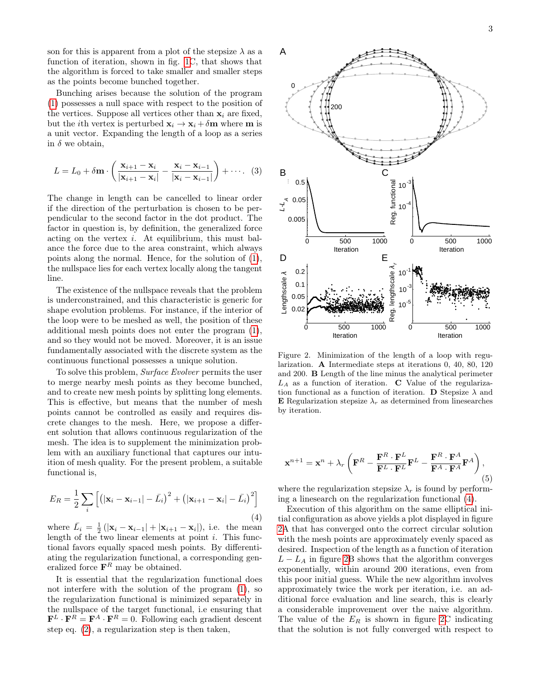son for this is apparent from a plot of the stepsize  $\lambda$  as a function of iteration, shown in fig. [1C](#page-1-2), that shows that the algorithm is forced to take smaller and smaller steps as the points become bunched together.

Bunching arises because the solution of the program [\(1\)](#page-1-1) possesses a null space with respect to the position of the vertices. Suppose all vertices other than  $x_i$  are fixed, but the *i*th vertex is perturbed  $\mathbf{x}_i \to \mathbf{x}_i + \delta \mathbf{m}$  where **m** is a unit vector. Expanding the length of a loop as a series in  $\delta$  we obtain.

$$
L = L_0 + \delta \mathbf{m} \cdot \left( \frac{\mathbf{x}_{i+1} - \mathbf{x}_i}{|\mathbf{x}_{i+1} - \mathbf{x}_i|} - \frac{\mathbf{x}_i - \mathbf{x}_{i-1}}{|\mathbf{x}_i - \mathbf{x}_{i-1}|} \right) + \cdots (3)
$$

The change in length can be cancelled to linear order if the direction of the perturbation is chosen to be perpendicular to the second factor in the dot product. The factor in question is, by definition, the generalized force acting on the vertex  $i$ . At equilibrium, this must balance the force due to the area constraint, which always points along the normal. Hence, for the solution of [\(1\)](#page-1-1), the nullspace lies for each vertex locally along the tangent line.

The existence of the nullspace reveals that the problem is underconstrained, and this characteristic is generic for shape evolution problems. For instance, if the interior of the loop were to be meshed as well, the position of these additional mesh points does not enter the program [\(1\)](#page-1-1), and so they would not be moved. Moreover, it is an issue fundamentally associated with the discrete system as the continuous functional possesses a unique solution.

To solve this problem, Surface Evolver permits the user to merge nearby mesh points as they become bunched, and to create new mesh points by splitting long elements. This is effective, but means that the number of mesh points cannot be controlled as easily and requires discrete changes to the mesh. Here, we propose a different solution that allows continuous regularization of the mesh. The idea is to supplement the minimization problem with an auxiliary functional that captures our intuition of mesh quality. For the present problem, a suitable functional is,

<span id="page-2-0"></span>
$$
E_R = \frac{1}{2} \sum_i \left[ \left( |\mathbf{x}_i - \mathbf{x}_{i-1}| - \bar{L}_i \right)^2 + \left( |\mathbf{x}_{i+1} - \mathbf{x}_i| - \bar{L}_i \right)^2 \right]
$$
\n(4)

where  $\bar{L}_i = \frac{1}{2} \left( |\mathbf{x}_i - \mathbf{x}_{i-1}| + |\mathbf{x}_{i+1} - \mathbf{x}_i| \right)$ , i.e. the mean length of the two linear elements at point  $i$ . This functional favors equally spaced mesh points. By differentiating the regularization functional, a corresponding generalized force  $\mathbf{F}^{R}$  may be obtained.

It is essential that the regularization functional does not interfere with the solution of the program [\(1\)](#page-1-1), so the regularization functional is minimized separately in the nullspace of the target functional, i.e ensuring that  $\mathbf{F}^{L} \cdot \mathbf{F}^{R} = \mathbf{F}^{A} \cdot \mathbf{F}^{R} = 0$ . Following each gradient descent step eq. [\(2\)](#page-1-3), a regularization step is then taken,



<span id="page-2-1"></span>Figure 2. Minimization of the length of a loop with regularization. A Intermediate steps at iterations 0, 40, 80, 120 and 200. B Length of the line minus the analytical perimeter  $L_A$  as a function of iteration.  $C$  Value of the regularization functional as a function of iteration. **D** Stepsize  $\lambda$  and **E** Regularization stepsize  $\lambda_r$  as determined from linesearches by iteration.

$$
\mathbf{x}^{n+1} = \mathbf{x}^n + \lambda_r \left( \mathbf{F}^R - \frac{\mathbf{F}^R \cdot \mathbf{F}^L}{\mathbf{F}^L \cdot \mathbf{F}^L} \mathbf{F}^L - \frac{\mathbf{F}^R \cdot \mathbf{F}^A}{\mathbf{F}^A \cdot \mathbf{F}^A} \mathbf{F}^A \right),\tag{5}
$$

where the regularization stepsize  $\lambda_r$  is found by performing a linesearch on the regularization functional [\(4\)](#page-2-0).

Execution of this algorithm on the same elliptical initial configuration as above yields a plot displayed in figure [2A](#page-2-1) that has converged onto the correct circular solution with the mesh points are approximately evenly spaced as desired. Inspection of the length as a function of iteration  $L - L_A$  in figure [2B](#page-2-1) shows that the algorithm converges exponentially, within around 200 iterations, even from this poor initial guess. While the new algorithm involves approximately twice the work per iteration, i.e. an additional force evaluation and line search, this is clearly a considerable improvement over the naive algorithm. The value of the  $E_R$  is shown in figure [2C](#page-2-1) indicating that the solution is not fully converged with respect to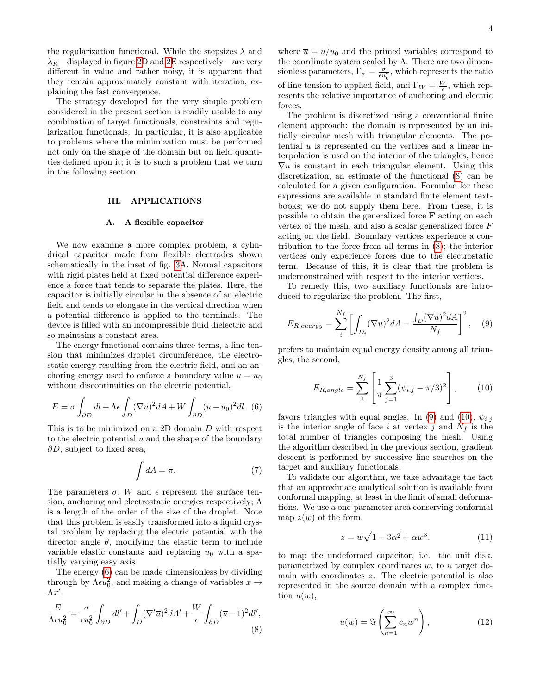the regularization functional. While the stepsizes  $\lambda$  and  $\lambda_R$ —displayed in figure [2D](#page-2-1) and [2E](#page-2-1) respectively—are very different in value and rather noisy, it is apparent that they remain approximately constant with iteration, explaining the fast convergence.

The strategy developed for the very simple problem considered in the present section is readily usable to any combination of target functionals, constraints and regularization functionals. In particular, it is also applicable to problems where the minimization must be performed not only on the shape of the domain but on field quantities defined upon it; it is to such a problem that we turn in the following section.

# <span id="page-3-0"></span>III. APPLICATIONS

### <span id="page-3-1"></span>A. A flexible capacitor

We now examine a more complex problem, a cylindrical capacitor made from flexible electrodes shown schematically in the inset of fig. [3A](#page-4-1). Normal capacitors with rigid plates held at fixed potential difference experience a force that tends to separate the plates. Here, the capacitor is initially circular in the absence of an electric field and tends to elongate in the vertical direction when a potential difference is applied to the terminals. The device is filled with an incompressible fluid dielectric and so maintains a constant area.

The energy functional contains three terms, a line tension that minimizes droplet circumference, the electrostatic energy resulting from the electric field, and an anchoring energy used to enforce a boundary value  $u = u_0$ without discontinuities on the electric potential,

<span id="page-3-2"></span>
$$
E = \sigma \int_{\partial D} dl + \Lambda \epsilon \int_{D} (\nabla u)^2 dA + W \int_{\partial D} (u - u_0)^2 dl. \tag{6}
$$

This is to be minimized on a 2D domain D with respect to the electric potential  $u$  and the shape of the boundary  $\partial D$ , subject to fixed area,

<span id="page-3-8"></span>
$$
\int dA = \pi. \tag{7}
$$

The parameters  $\sigma$ , W and  $\epsilon$  represent the surface tension, anchoring and electrostatic energies respectively; Λ is a length of the order of the size of the droplet. Note that this problem is easily transformed into a liquid crystal problem by replacing the electric potential with the director angle  $\theta$ , modifying the elastic term to include variable elastic constants and replacing  $u_0$  with a spatially varying easy axis.

The energy [\(6\)](#page-3-2) can be made dimensionless by dividing through by  $\Lambda \epsilon u_0^2$ , and making a change of variables  $x \to$  $\Lambda x',$ 

<span id="page-3-3"></span>
$$
\frac{E}{\Lambda \epsilon u_0^2} = \frac{\sigma}{\epsilon u_0^2} \int_{\partial D} dl' + \int_D (\nabla' \overline{u})^2 dA' + \frac{W}{\epsilon} \int_{\partial D} (\overline{u} - 1)^2 dl',\tag{8}
$$

where  $\bar{u} = u/u_0$  and the primed variables correspond to the coordinate system scaled by  $\Lambda$ . There are two dimensionless parameters,  $\Gamma_{\sigma} = \frac{\sigma}{\epsilon u_0^2}$ , which represents the ratio of line tension to applied field, and  $\Gamma_W = \frac{W}{\epsilon}$ , which represents the relative importance of anchoring and electric forces.

The problem is discretized using a conventional finite element approach: the domain is represented by an initially circular mesh with triangular elements. The potential  $u$  is represented on the vertices and a linear interpolation is used on the interior of the triangles, hence  $\nabla u$  is constant in each triangular element. Using this discretization, an estimate of the functional [\(8\)](#page-3-3) can be calculated for a given configuration. Formulae for these expressions are available in standard finite element textbooks; we do not supply them here. From these, it is possible to obtain the generalized force F acting on each vertex of the mesh, and also a scalar generalized force F acting on the field. Boundary vertices experience a contribution to the force from all terms in [\(8\)](#page-3-3); the interior vertices only experience forces due to the electrostatic term. Because of this, it is clear that the problem is underconstrained with respect to the interior vertices.

To remedy this, two auxiliary functionals are introduced to regularize the problem. The first,

<span id="page-3-4"></span>
$$
E_{R,energy} = \sum_{i}^{N_f} \left[ \int_{D_i} (\nabla u)^2 dA - \frac{\int_D (\nabla u)^2 dA}{N_f} \right]^2, \quad (9)
$$

prefers to maintain equal energy density among all triangles; the second,

<span id="page-3-5"></span>
$$
E_{R,angle} = \sum_{i}^{N_f} \left[ \frac{1}{\pi} \sum_{j=1}^{3} (\psi_{i,j} - \pi/3)^2 \right],
$$
 (10)

favors triangles with equal angles. In [\(9\)](#page-3-4) and [\(10\)](#page-3-5),  $\psi_{i,j}$ is the interior angle of face i at vertex j and  $N_f$  is the total number of triangles composing the mesh. Using the algorithm described in the previous section, gradient descent is performed by successive line searches on the target and auxiliary functionals.

To validate our algorithm, we take advantage the fact that an approximate analytical solution is available from conformal mapping, at least in the limit of small deformations. We use a one-parameter area conserving conformal map  $z(w)$  of the form,

<span id="page-3-6"></span>
$$
z = w\sqrt{1 - 3\alpha^2} + \alpha w^3. \tag{11}
$$

to map the undeformed capacitor, i.e. the unit disk, parametrized by complex coordinates w, to a target domain with coordinates z. The electric potential is also represented in the source domain with a complex function  $u(w)$ ,

<span id="page-3-7"></span>
$$
u(w) = \Im\left(\sum_{n=1}^{\infty} c_n w^n\right),\tag{12}
$$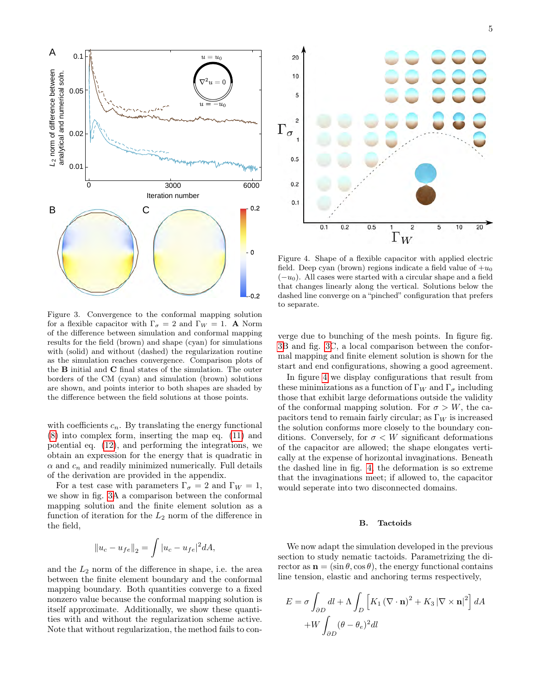

<span id="page-4-1"></span>Figure 3. Convergence to the conformal mapping solution for a flexible capacitor with  $\Gamma_{\sigma} = 2$  and  $\Gamma_W = 1$ . A Norm of the difference between simulation and conformal mapping results for the field (brown) and shape (cyan) for simulations with (solid) and without (dashed) the regularization routine as the simulation reaches convergence. Comparison plots of the B initial and C final states of the simulation. The outer borders of the CM (cyan) and simulation (brown) solutions are shown, and points interior to both shapes are shaded by the difference between the field solutions at those points.

with coefficients  $c_n$ . By translating the energy functional [\(8\)](#page-3-3) into complex form, inserting the map eq. [\(11\)](#page-3-6) and potential eq. [\(12\)](#page-3-7), and performing the integrations, we obtain an expression for the energy that is quadratic in  $\alpha$  and  $c_n$  and readily minimized numerically. Full details of the derivation are provided in the appendix.

For a test case with parameters  $\Gamma_{\sigma} = 2$  and  $\Gamma_W = 1$ , we show in fig. [3A](#page-4-1) a comparison between the conformal mapping solution and the finite element solution as a function of iteration for the  $L_2$  norm of the difference in the field,

$$
||u_c - u_{fe}||_2 = \int |u_c - u_{fe}|^2 dA,
$$

and the  $L_2$  norm of the difference in shape, i.e. the area between the finite element boundary and the conformal mapping boundary. Both quantities converge to a fixed nonzero value because the conformal mapping solution is itself approximate. Additionally, we show these quantities with and without the regularization scheme active. Note that without regularization, the method fails to con-



<span id="page-4-2"></span>Figure 4. Shape of a flexible capacitor with applied electric field. Deep cyan (brown) regions indicate a field value of  $+u_0$  $(-u_0)$ . All cases were started with a circular shape and a field that changes linearly along the vertical. Solutions below the dashed line converge on a "pinched" configuration that prefers to separate.

verge due to bunching of the mesh points. In figure fig. [3B](#page-4-1) and fig. [3C](#page-4-1), a local comparison between the conformal mapping and finite element solution is shown for the start and end configurations, showing a good agreement.

In figure [4](#page-4-2) we display configurations that result from these minimizations as a function of  $\Gamma_W$  and  $\Gamma_{\sigma}$  including those that exhibit large deformations outside the validity of the conformal mapping solution. For  $\sigma > W$ , the capacitors tend to remain fairly circular; as  $\Gamma_W$  is increased the solution conforms more closely to the boundary conditions. Conversely, for  $\sigma \langle W \rangle$  significant deformations of the capacitor are allowed; the shape elongates vertically at the expense of horizontal invaginations. Beneath the dashed line in fig. [4,](#page-4-2) the deformation is so extreme that the invaginations meet; if allowed to, the capacitor would seperate into two disconnected domains.

### <span id="page-4-0"></span>B. Tactoids

We now adapt the simulation developed in the previous section to study nematic tactoids. Parametrizing the director as  $\mathbf{n} = (\sin \theta, \cos \theta)$ , the energy functional contains line tension, elastic and anchoring terms respectively,

$$
E = \sigma \int_{\partial D} dl + \Lambda \int_{D} \left[ K_{1} (\nabla \cdot \mathbf{n})^{2} + K_{3} |\nabla \times \mathbf{n}|^{2} \right] dA
$$

$$
+ W \int_{\partial D} (\theta - \theta_{e})^{2} dl
$$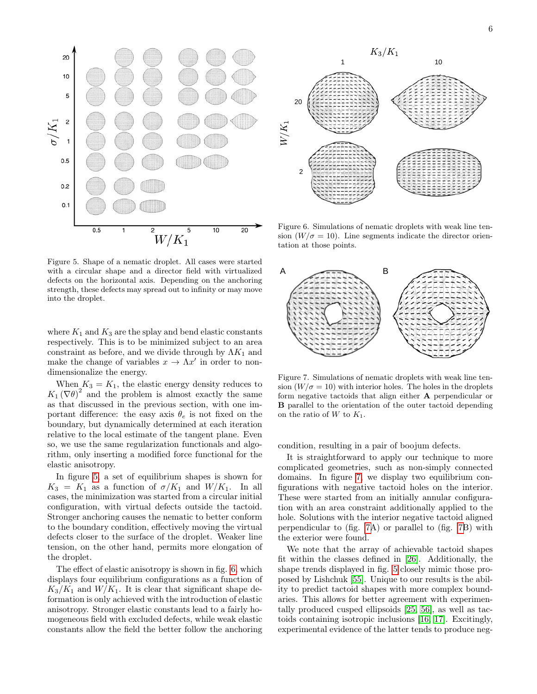



<span id="page-5-0"></span>Figure 5. Shape of a nematic droplet. All cases were started with a circular shape and a director field with virtualized defects on the horizontal axis. Depending on the anchoring strength, these defects may spread out to infinity or may move into the droplet.

where  $K_1$  and  $K_3$  are the splay and bend elastic constants respectively. This is to be minimized subject to an area constraint as before, and we divide through by  $\Lambda K_1$  and make the change of variables  $x \to \Lambda x'$  in order to nondimensionalize the energy.

When  $K_3 = K_1$ , the elastic energy density reduces to  $K_1(\nabla\theta)^2$  and the problem is almost exactly the same as that discussed in the previous section, with one important difference: the easy axis  $\theta_e$  is not fixed on the boundary, but dynamically determined at each iteration relative to the local estimate of the tangent plane. Even so, we use the same regularization functionals and algorithm, only inserting a modified force functional for the elastic anisotropy.

In figure [5,](#page-5-0) a set of equilibrium shapes is shown for  $K_3 = K_1$  as a function of  $\sigma/K_1$  and  $W/K_1$ . In all cases, the minimization was started from a circular initial configuration, with virtual defects outside the tactoid. Stronger anchoring causes the nematic to better conform to the boundary condition, effectively moving the virtual defects closer to the surface of the droplet. Weaker line tension, on the other hand, permits more elongation of the droplet.

The effect of elastic anisotropy is shown in fig. [6,](#page-5-1) which displays four equilibrium configurations as a function of  $K_3/K_1$  and  $W/K_1$ . It is clear that significant shape deformation is only achieved with the introduction of elastic anisotropy. Stronger elastic constants lead to a fairly homogeneous field with excluded defects, while weak elastic constants allow the field the better follow the anchoring



<span id="page-5-1"></span>Figure 6. Simulations of nematic droplets with weak line tension  $(W/\sigma = 10)$ . Line segments indicate the director orientation at those points.



<span id="page-5-2"></span>Figure 7. Simulations of nematic droplets with weak line tension  $(W/\sigma = 10)$  with interior holes. The holes in the droplets form negative tactoids that align either A perpendicular or B parallel to the orientation of the outer tactoid depending on the ratio of  $W$  to  $K_1$ .

condition, resulting in a pair of boojum defects.

It is straightforward to apply our technique to more complicated geometries, such as non-simply connected domains. In figure [7,](#page-5-2) we display two equilibrium configurations with negative tactoid holes on the interior. These were started from an initially annular configuration with an area constraint additionally applied to the hole. Solutions with the interior negative tactoid aligned perpendicular to (fig. [7A](#page-5-2)) or parallel to (fig. [7B](#page-5-2)) with the exterior were found.

We note that the array of achievable tactoid shapes fit within the classes defined in [\[26\]](#page-8-15). Additionally, the shape trends displayed in fig. [5](#page-5-0) closely mimic those proposed by Lishchuk [\[55\]](#page-8-34). Unique to our results is the ability to predict tactoid shapes with more complex boundaries. This allows for better agreement with experimentally produced cusped ellipsoids [\[25,](#page-8-14) [56\]](#page-8-35), as well as tactoids containing isotropic inclusions [\[16,](#page-8-5) [17\]](#page-8-6). Excitingly, experimental evidence of the latter tends to produce neg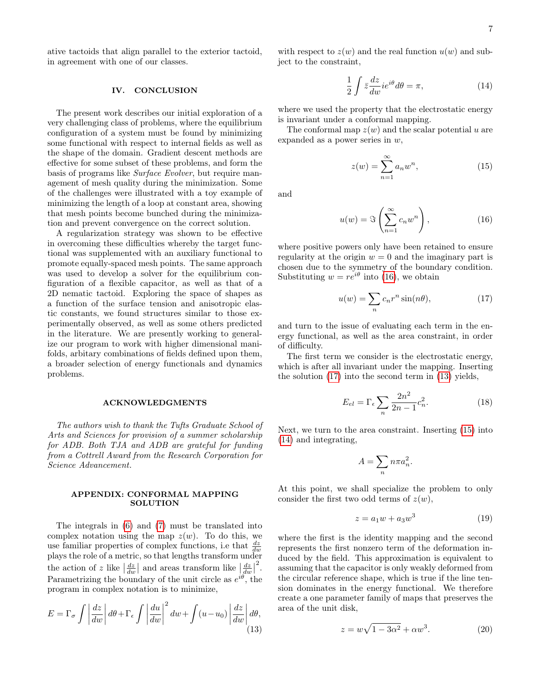ative tactoids that align parallel to the exterior tactoid, in agreement with one of our classes.

# <span id="page-6-0"></span>IV. CONCLUSION

The present work describes our initial exploration of a very challenging class of problems, where the equilibrium configuration of a system must be found by minimizing some functional with respect to internal fields as well as the shape of the domain. Gradient descent methods are effective for some subset of these problems, and form the basis of programs like Surface Evolver, but require management of mesh quality during the minimization. Some of the challenges were illustrated with a toy example of minimizing the length of a loop at constant area, showing that mesh points become bunched during the minimization and prevent convergence on the correct solution.

A regularization strategy was shown to be effective in overcoming these difficulties whereby the target functional was supplemented with an auxiliary functional to promote equally-spaced mesh points. The same approach was used to develop a solver for the equilibrium configuration of a flexible capacitor, as well as that of a 2D nematic tactoid. Exploring the space of shapes as a function of the surface tension and anisotropic elastic constants, we found structures similar to those experimentally observed, as well as some others predicted in the literature. We are presently working to generalize our program to work with higher dimensional manifolds, arbitary combinations of fields defined upon them, a broader selection of energy functionals and dynamics problems.

### ACKNOWLEDGMENTS

The authors wish to thank the Tufts Graduate School of Arts and Sciences for provision of a summer scholarship for ADB. Both TJA and ADB are grateful for funding from a Cottrell Award from the Research Corporation for Science Advancement.

### APPENDIX: CONFORMAL MAPPING **SOLUTION**

The integrals in [\(6\)](#page-3-2) and [\(7\)](#page-3-8) must be translated into complex notation using the map  $z(w)$ . To do this, we use familiar properties of complex functions, i.e that  $\frac{dz}{dw}$ plays the role of a metric, so that lengths transform under the action of z like  $\left|\frac{dz}{dw}\right|$  and areas transform like  $\left|\frac{dz}{dw}\right|$ 2 . Parametrizing the boundary of the unit circle as  $e^{i\theta}$ , the program in complex notation is to minimize,

<span id="page-6-3"></span>
$$
E = \Gamma_{\sigma} \int \left| \frac{dz}{dw} \right| d\theta + \Gamma_{\epsilon} \int \left| \frac{du}{dw} \right|^2 dw + \int (u - u_0) \left| \frac{dz}{dw} \right| d\theta,
$$
\n(13)

with respect to  $z(w)$  and the real function  $u(w)$  and subject to the constraint,

<span id="page-6-5"></span>
$$
\frac{1}{2} \int \bar{z} \frac{dz}{dw} i e^{i\theta} d\theta = \pi,\tag{14}
$$

where we used the property that the electrostatic energy is invariant under a conformal mapping.

The conformal map  $z(w)$  and the scalar potential u are expanded as a power series in  $w$ ,

<span id="page-6-4"></span>
$$
z(w) = \sum_{n=1}^{\infty} a_n w^n,
$$
\n(15)

and

<span id="page-6-1"></span>
$$
u(w) = \Im\left(\sum_{n=1}^{\infty} c_n w^n\right),\tag{16}
$$

where positive powers only have been retained to ensure regularity at the origin  $w = 0$  and the imaginary part is chosen due to the symmetry of the boundary condition. Substituting  $w = re^{i\theta}$  into [\(16\)](#page-6-1), we obtain

<span id="page-6-2"></span>
$$
u(w) = \sum_{n} c_n r^n \sin(n\theta), \qquad (17)
$$

and turn to the issue of evaluating each term in the energy functional, as well as the area constraint, in order of difficulty.

The first term we consider is the electrostatic energy, which is after all invariant under the mapping. Inserting the solution [\(17\)](#page-6-2) into the second term in [\(13\)](#page-6-3) yields,

<span id="page-6-7"></span>
$$
E_{el} = \Gamma_{\epsilon} \sum_{n} \frac{2n^2}{2n - 1} c_n^2.
$$
 (18)

Next, we turn to the area constraint. Inserting [\(15\)](#page-6-4) into [\(14\)](#page-6-5) and integrating,

$$
A = \sum_{n} n \pi a_n^2.
$$

At this point, we shall specialize the problem to only consider the first two odd terms of  $z(w)$ ,

$$
z = a_1 w + a_3 w^3 \tag{19}
$$

where the first is the identity mapping and the second represents the first nonzero term of the deformation induced by the field. This approximation is equivalent to assuming that the capacitor is only weakly deformed from the circular reference shape, which is true if the line tension dominates in the energy functional. We therefore create a one parameter family of maps that preserves the area of the unit disk,

<span id="page-6-6"></span>
$$
z = w\sqrt{1 - 3\alpha^2} + \alpha w^3. \tag{20}
$$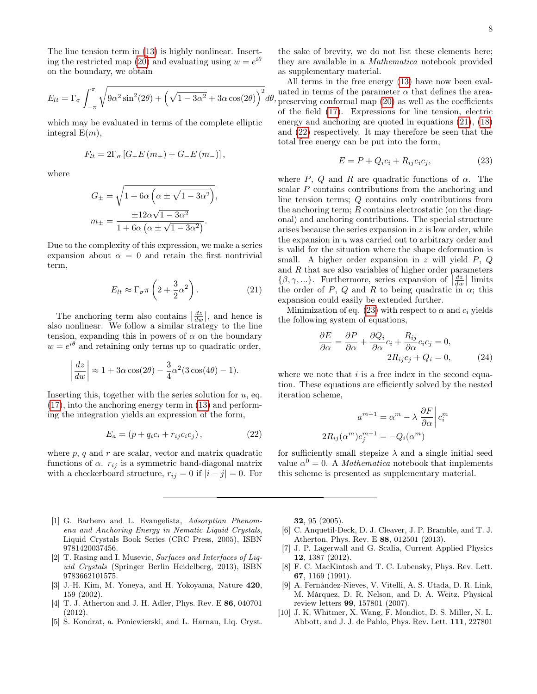The line tension term in [\(13\)](#page-6-3) is highly nonlinear. Insert-ing the restricted map [\(20\)](#page-6-6) and evaluating using  $w = e^{i\theta}$ on the boundary, we obtain

$$
E_{lt} = \Gamma_{\sigma} \int_{-\pi}^{\pi} \sqrt{9\alpha^2 \sin^2(2\theta) + \left(\sqrt{1 - 3\alpha^2} + 3\alpha \cos(2\theta)\right)^2} d\theta
$$

which may be evaluated in terms of the complete elliptic integral  $E(m)$ ,

$$
F_{lt} = 2\Gamma_{\sigma} [G_{+}E(m_{+}) + G_{-}E(m_{-})],
$$

where

$$
G_{\pm} = \sqrt{1 + 6\alpha \left(\alpha \pm \sqrt{1 - 3\alpha^2}\right)},
$$

$$
m_{\pm} = \frac{\pm 12\alpha\sqrt{1 - 3\alpha^2}}{1 + 6\alpha \left(\alpha \pm \sqrt{1 - 3\alpha^2}\right)}.
$$

Due to the complexity of this expression, we make a series expansion about  $\alpha = 0$  and retain the first nontrivial term,

<span id="page-7-10"></span>
$$
E_{lt} \approx \Gamma_{\sigma} \pi \left( 2 + \frac{3}{2} \alpha^2 \right). \tag{21}
$$

The anchoring term also contains  $\left|\frac{dz}{dw}\right|$ , and hence is also nonlinear. We follow a similar strategy to the line tension, expanding this in powers of  $\alpha$  on the boundary  $w = e^{i\theta}$  and retaining only terms up to quadratic order,

$$
\left|\frac{dz}{dw}\right| \approx 1 + 3\alpha \cos(2\theta) - \frac{3}{4}\alpha^2 (3\cos(4\theta) - 1).
$$

Inserting this, together with the series solution for  $u$ , eq. [\(17\)](#page-6-2), into the anchoring energy term in [\(13\)](#page-6-3) and performing the integration yields an expression of the form,

<span id="page-7-11"></span>
$$
E_a = (p + q_i c_i + r_{ij} c_i c_j), \qquad (22)
$$

where  $p$ ,  $q$  and  $r$  are scalar, vector and matrix quadratic functions of  $\alpha$ .  $r_{ij}$  is a symmetric band-diagonal matrix with a checkerboard structure,  $r_{ij} = 0$  if  $|i - j| = 0$ . For

- <span id="page-7-0"></span>[1] G. Barbero and L. Evangelista, Adsorption Phenomena and Anchoring Energy in Nematic Liquid Crystals, Liquid Crystals Book Series (CRC Press, 2005), ISBN 9781420037456.
- <span id="page-7-1"></span>[2] T. Rasing and I. Musevic, Surfaces and Interfaces of Liquid Crystals (Springer Berlin Heidelberg, 2013), ISBN 9783662101575.
- <span id="page-7-2"></span>[3] J.-H. Kim, M. Yoneya, and H. Yokoyama, Nature 420, 159 (2002).
- <span id="page-7-3"></span>[4] T. J. Atherton and J. H. Adler, Phys. Rev. E 86, 040701 (2012).
- <span id="page-7-4"></span>[5] S. Kondrat, a. Poniewierski, and L. Harnau, Liq. Cryst.

the sake of brevity, we do not list these elements here; they are available in a Mathematica notebook provided as supplementary material.

 $d\theta$ , preserving conformal map [\(20\)](#page-6-6) as well as the coefficients All terms in the free energy [\(13\)](#page-6-3) have now been evaluated in terms of the parameter  $\alpha$  that defines the areaof the field [\(17\)](#page-6-2). Expressions for line tension, electric energy and anchoring are quoted in equations [\(21\)](#page-7-10), [\(18\)](#page-6-7) and [\(22\)](#page-7-11) respectively. It may therefore be seen that the total free energy can be put into the form,

<span id="page-7-12"></span>
$$
E = P + Q_i c_i + R_{ij} c_i c_j, \qquad (23)
$$

where P, Q and R are quadratic functions of  $\alpha$ . The scalar P contains contributions from the anchoring and line tension terms; Q contains only contributions from the anchoring term;  $R$  contains electrostatic (on the diagonal) and anchoring contributions. The special structure arises because the series expansion in  $z$  is low order, while the expansion in u was carried out to arbitrary order and is valid for the situation where the shape deformation is small. A higher order expansion in z will yield P, Q and  $R$  that are also variables of higher order parameters  $\{\beta, \gamma, ...\}$ . Furthermore, series expansion of  $\frac{dz}{dw}$  limits the order of P, Q and R to being quadratic in  $\alpha$ ; this expansion could easily be extended further.

Minimization of eq. [\(23\)](#page-7-12) with respect to  $\alpha$  and  $c_i$  yields the following system of equations,

$$
\frac{\partial E}{\partial \alpha} = \frac{\partial P}{\partial \alpha} + \frac{\partial Q_i}{\partial \alpha} c_i + \frac{R_{ij}}{\partial \alpha} c_i c_j = 0, 2R_{ij}c_j + Q_i = 0,
$$
 (24)

where we note that  $i$  is a free index in the second equation. These equations are efficiently solved by the nested iteration scheme,

$$
a^{m+1} = \alpha^m - \lambda \frac{\partial F}{\partial \alpha} \Big| c_i^m
$$

$$
2R_{ij}(\alpha^m)c_j^{m+1} = -Q_i(\alpha^m)
$$

for sufficiently small stepsize  $\lambda$  and a single initial seed value  $\alpha^0 = 0$ . A *Mathematica* notebook that implements this scheme is presented as supplementary material.

32, 95 (2005).

- <span id="page-7-5"></span>[6] C. Anquetil-Deck, D. J. Cleaver, J. P. Bramble, and T. J. Atherton, Phys. Rev. E 88, 012501 (2013).
- <span id="page-7-6"></span>[7] J. P. Lagerwall and G. Scalia, Current Applied Physics 12, 1387 (2012).
- <span id="page-7-7"></span>[8] F. C. MacKintosh and T. C. Lubensky, Phys. Rev. Lett. 67, 1169 (1991).
- <span id="page-7-8"></span>[9] A. Fernández-Nieves, V. Vitelli, A. S. Utada, D. R. Link, M. Márquez, D. R. Nelson, and D. A. Weitz, Physical review letters 99, 157801 (2007).
- <span id="page-7-9"></span>[10] J. K. Whitmer, X. Wang, F. Mondiot, D. S. Miller, N. L. Abbott, and J. J. de Pablo, Phys. Rev. Lett. 111, 227801